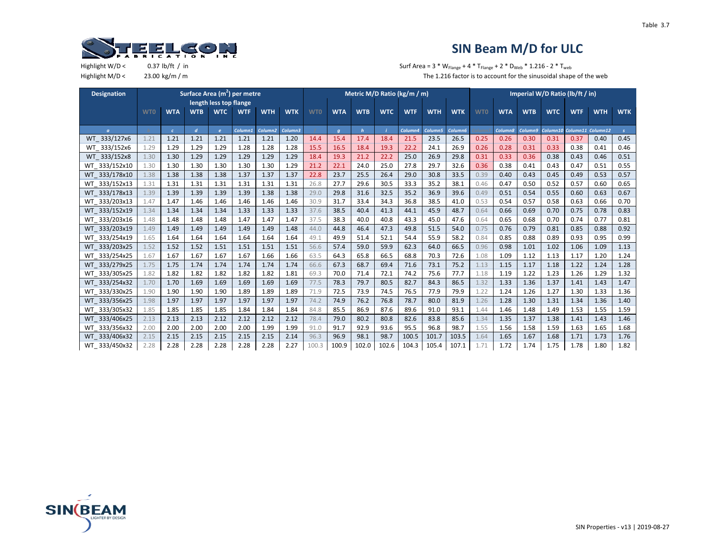

| <b>Designation</b> |            |            |                  |                        | Surface Area (m <sup>2</sup> ) per metre |                     |            |            |            |              |            | Metric M/D Ratio (kg/m / m) |            |            |            |            |            | Imperial W/D Ratio (lb/ft / in) |            |                   |               |
|--------------------|------------|------------|------------------|------------------------|------------------------------------------|---------------------|------------|------------|------------|--------------|------------|-----------------------------|------------|------------|------------|------------|------------|---------------------------------|------------|-------------------|---------------|
|                    |            |            |                  | length less top flange |                                          |                     |            |            |            |              |            |                             |            |            |            |            |            |                                 |            |                   |               |
|                    | <b>WTO</b> | <b>WTA</b> | <b>WTB</b>       | <b>WTC</b>             | <b>WTF</b>                               | <b>WTH</b>          | <b>WTK</b> | <b>WTO</b> | <b>WTA</b> | <b>WTB</b>   | <b>WTC</b> | <b>WTF</b>                  | <b>WTH</b> | <b>WTK</b> | <b>WTO</b> | <b>WTA</b> | <b>WTB</b> | <b>WTC</b>                      | <b>WTF</b> | <b>WTH</b>        | <b>WTK</b>    |
|                    |            |            |                  |                        |                                          |                     |            |            |            |              |            |                             |            |            |            |            |            |                                 |            |                   |               |
| $\sigma$           |            | $\epsilon$ | $\boldsymbol{d}$ | $\mathbf{e}$           | Column1                                  | Column <sub>2</sub> | Column3    |            | q          | $\mathbf{h}$ |            | Column4                     | Column5    | Column6    |            | Column8    | Column9    | Column10                        |            | Column11 Column12 | $\mathcal{S}$ |
| WT 333/127x6       | 1.21       | 1.21       | 1.21             | 1.21                   | 1.21                                     | 1.21                | 1.20       | 14.4       | 15.4       | 17.4         | 18.4       | 21.5                        | 23.5       | 26.5       | 0.25       | 0.26       | 0.30       | 0.31                            | 0.37       | 0.40              | 0.45          |
| WT_333/152x6       | 1.29       | 1.29       | 1.29             | 1.29                   | 1.28                                     | 1.28                | 1.28       | 15.5       | 16.5       | 18.4         | 19.3       | 22.2                        | 24.1       | 26.9       | 0.26       | 0.28       | 0.31       | 0.33                            | 0.38       | 0.41              | 0.46          |
| WT 333/152x8       | 1.30       | 1.30       | 1.29             | 1.29                   | 1.29                                     | 1.29                | 1.29       | 18.4       | 19.3       | 21.2         | 22.2       | 25.0                        | 26.9       | 29.8       | 0.31       | 0.33       | 0.36       | 0.38                            | 0.43       | 0.46              | 0.51          |
| WT 333/152x10      | 1.30       | 1.30       | 1.30             | 1.30                   | 1.30                                     | 1.30                | 1.29       | 21.2       | 22.1       | 24.0         | 25.0       | 27.8                        | 29.7       | 32.6       | 0.36       | 0.38       | 0.41       | 0.43                            | 0.47       | 0.51              | 0.55          |
| WT 333/178x10      | 1.38       | 1.38       | 1.38             | 1.38                   | 1.37                                     | 1.37                | 1.37       | 22.8       | 23.7       | 25.5         | 26.4       | 29.0                        | 30.8       | 33.5       | 0.39       | 0.40       | 0.43       | 0.45                            | 0.49       | 0.53              | 0.57          |
| WT 333/152x13      | 1.31       | 1.31       | 1.31             | 1.31                   | 1.31                                     | 1.31                | 1.31       | 26.8       | 27.7       | 29.6         | 30.5       | 33.3                        | 35.2       | 38.1       | 0.46       | 0.47       | 0.50       | 0.52                            | 0.57       | 0.60              | 0.65          |
| WT 333/178x13      | 1.39       | 1.39       | 1.39             | 1.39                   | 1.39                                     | 1.38                | 1.38       | 29.0       | 29.8       | 31.6         | 32.5       | 35.2                        | 36.9       | 39.6       | 0.49       | 0.51       | 0.54       | 0.55                            | 0.60       | 0.63              | 0.67          |
| WT 333/203x13      | 1.47       | 1.47       | 1.46             | 1.46                   | 1.46                                     | 1.46                | 1.46       | 30.9       | 31.7       | 33.4         | 34.3       | 36.8                        | 38.5       | 41.0       | 0.53       | 0.54       | 0.57       | 0.58                            | 0.63       | 0.66              | 0.70          |
| WT 333/152x19      | 1.34       | 1.34       | 1.34             | 1.34                   | 1.33                                     | 1.33                | 1.33       | 37.6       | 38.5       | 40.4         | 41.3       | 44.1                        | 45.9       | 48.7       | 0.64       | 0.66       | 0.69       | 0.70                            | 0.75       | 0.78              | 0.83          |
| WT 333/203x16      | 1.48       | 1.48       | 1.48             | 1.48                   | 1.47                                     | 1.47                | 1.47       | 37.5       | 38.3       | 40.0         | 40.8       | 43.3                        | 45.0       | 47.6       | 0.64       | 0.65       | 0.68       | 0.70                            | 0.74       | 0.77              | 0.81          |
| WT 333/203x19      | 1.49       | 1.49       | 1.49             | 1.49                   | 1.49                                     | 1.49                | 1.48       | 44.0       | 44.8       | 46.4         | 47.3       | 49.8                        | 51.5       | 54.0       | 0.75       | 0.76       | 0.79       | 0.81                            | 0.85       | 0.88              | 0.92          |
| WT 333/254x19      | 1.65       | 1.64       | 1.64             | 1.64                   | 1.64                                     | 1.64                | 1.64       | 49.1       | 49.9       | 51.4         | 52.1       | 54.4                        | 55.9       | 58.2       | 0.84       | 0.85       | 0.88       | 0.89                            | 0.93       | 0.95              | 0.99          |
| WT_333/203x25      | 1.52       | 1.52       | 1.52             | 1.51                   | 1.51                                     | 1.51                | 1.51       | 56.6       | 57.4       | 59.0         | 59.9       | 62.3                        | 64.0       | 66.5       | 0.96       | 0.98       | 1.01       | 1.02                            | 1.06       | 1.09              | 1.13          |
| WT 333/254x25      | 1.67       | 1.67       | 1.67             | 1.67                   | 1.67                                     | 1.66                | 1.66       | 63.5       | 64.3       | 65.8         | 66.5       | 68.8                        | 70.3       | 72.6       | 1.08       | 1.09       | 1.12       | 1.13                            | 1.17       | 1.20              | 1.24          |
| WT 333/279x25      | 1.75       | 1.75       | 1.74             | 1.74                   | 1.74                                     | 1.74                | 1.74       | 66.6       | 67.3       | 68.7         | 69.4       | 71.6                        | 73.1       | 75.2       | 1.13       | 1.15       | 1.17       | 1.18                            | 1.22       | 1.24              | 1.28          |
| WT 333/305x25      | 1.82       | 1.82       | 1.82             | 1.82                   | 1.82                                     | 1.82                | 1.81       | 69.3       | 70.0       | 71.4         | 72.1       | 74.2                        | 75.6       | 77.7       | 1.18       | 1.19       | 1.22       | 1.23                            | 1.26       | 1.29              | 1.32          |
| WT 333/254x32      | 1.70       | 1.70       | 1.69             | 1.69                   | 1.69                                     | 1.69                | 1.69       | 77.5       | 78.3       | 79.7         | 80.5       | 82.7                        | 84.3       | 86.5       | 1.32       | 1.33       | 1.36       | 1.37                            | 1.41       | 1.43              | 1.47          |
| WT 333/330x25      | 1.90       | 1.90       | 1.90             | 1.90                   | 1.89                                     | 1.89                | 1.89       | 71.9       | 72.5       | 73.9         | 74.5       | 76.5                        | 77.9       | 79.9       | 1.22       | 1.24       | 1.26       | 1.27                            | 1.30       | 1.33              | 1.36          |
| WT 333/356x25      | 1.98       | 1.97       | 1.97             | 1.97                   | 1.97                                     | 1.97                | 1.97       | 74.2       | 74.9       | 76.2         | 76.8       | 78.7                        | 80.0       | 81.9       | 1.26       | 1.28       | 1.30       | 1.31                            | 1.34       | 1.36              | 1.40          |
| WT 333/305x32      | 1.85       | 1.85       | 1.85             | 1.85                   | 1.84                                     | 1.84                | 1.84       | 84.8       | 85.5       | 86.9         | 87.6       | 89.6                        | 91.0       | 93.1       | 1.44       | 1.46       | 1.48       | 1.49                            | 1.53       | 1.55              | 1.59          |
| WT 333/406x25      | 2.13       | 2.13       | 2.13             | 2.12                   | 2.12                                     | 2.12                | 2.12       | 78.4       | 79.0       | 80.2         | 80.8       | 82.6                        | 83.8       | 85.6       | 1.34       | 1.35       | 1.37       | 1.38                            | 1.41       | 1.43              | 1.46          |
| WT 333/356x32      | 2.00       | 2.00       | 2.00             | 2.00                   | 2.00                                     | 1.99                | 1.99       | 91.0       | 91.7       | 92.9         | 93.6       | 95.5                        | 96.8       | 98.7       | 1.55       | 1.56       | 1.58       | 1.59                            | 1.63       | 1.65              | 1.68          |
| WT 333/406x32      | 2.15       | 2.15       | 2.15             | 2.15                   | 2.15                                     | 2.15                | 2.14       | 96.3       | 96.9       | 98.1         | 98.7       | 100.5                       | 101.7      | 103.5      | 1.64       | 1.65       | 1.67       | 1.68                            | 1.71       | 1.73              | 1.76          |
| WT 333/450x32      | 2.28       | 2.28       | 2.28             | 2.28                   | 2.28                                     | 2.28                | 2.27       | 100.3      | 100.9      | 102.0        | 102.6      | 104.3                       | 105.4      | 107.1      | 1.71       | 1.72       | 1.74       | 1.75                            | 1.78       | 1.80              | 1.82          |

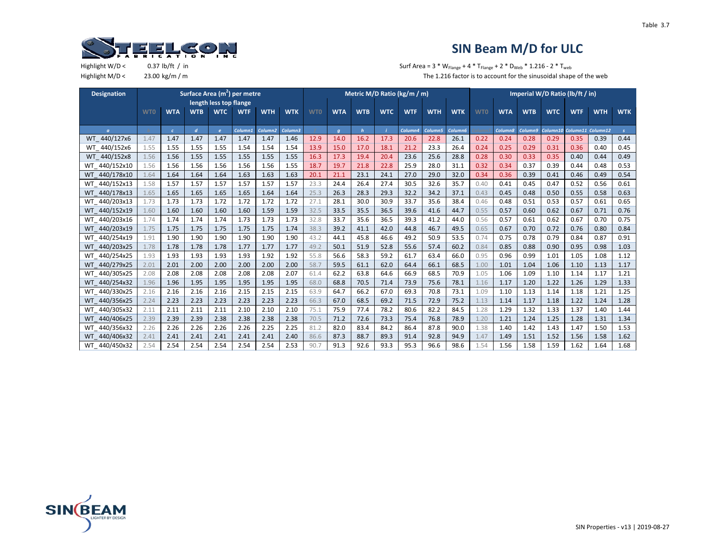

Highlight W/D <  $0.37 \text{ lb/ft } / \text{ in }$   $5.37 \text{ lb/ft } / \text{ in }$   $5.37 \text{ lb/ft } / \text{ in }$ Highlight M/D < 23.00 kg/m / m  $\blacksquare$  m The 1.216 factor is to account for the sinusoidal shape of the web

| <b>Designation</b> |            |            |                |                        | Surface Area (m <sup>2</sup> ) per metre |                     |            |            |            |              |            | Metric M/D Ratio (kg/m / m) |            |            |            |            |            | Imperial W/D Ratio (lb/ft / in) |            |                   |               |
|--------------------|------------|------------|----------------|------------------------|------------------------------------------|---------------------|------------|------------|------------|--------------|------------|-----------------------------|------------|------------|------------|------------|------------|---------------------------------|------------|-------------------|---------------|
|                    |            |            |                | length less top flange |                                          |                     |            |            |            |              |            |                             |            |            |            |            |            |                                 |            |                   |               |
|                    | <b>WTO</b> | <b>WTA</b> | <b>WTB</b>     | <b>WTC</b>             | <b>WTF</b>                               | <b>WTH</b>          | <b>WTK</b> | <b>WTO</b> | <b>WTA</b> | <b>WTB</b>   | <b>WTC</b> | <b>WTF</b>                  | <b>WTH</b> | <b>WTK</b> | <b>WTO</b> | <b>WTA</b> | <b>WTB</b> | <b>WTC</b>                      | <b>WTF</b> | <b>WTH</b>        | <b>WTK</b>    |
|                    |            |            |                |                        |                                          |                     |            |            |            |              |            |                             |            |            |            |            |            |                                 |            |                   |               |
| $\sigma$           |            | $\epsilon$ | $\overline{d}$ | $\mathbf{e}$           | Column1                                  | Column <sub>2</sub> | Column3    |            | q          | $\mathbf{h}$ |            | Column4                     | Column5    | Column6    |            | Column8    | Column9    | Column10                        |            | Column11 Column12 | $\mathcal{S}$ |
| WT 440/127x6       | 1.47       | 1.47       | 1.47           | 1.47                   | 1.47                                     | 1.47                | 1.46       | 12.9       | 14.0       | 16.2         | 17.3       | 20.6                        | 22.8       | 26.1       | 0.22       | 0.24       | 0.28       | 0.29                            | 0.35       | 0.39              | 0.44          |
| WT 440/152x6       | 1.55       | 1.55       | 1.55           | 1.55                   | 1.54                                     | 1.54                | 1.54       | 13.9       | 15.0       | 17.0         | 18.1       | 21.2                        | 23.3       | 26.4       | 0.24       | 0.25       | 0.29       | 0.31                            | 0.36       | 0.40              | 0.45          |
| WT 440/152x8       | 1.56       | 1.56       | 1.55           | 1.55                   | 1.55                                     | 1.55                | 1.55       | 16.3       | 17.3       | 19.4         | 20.4       | 23.6                        | 25.6       | 28.8       | 0.28       | 0.30       | 0.33       | 0.35                            | 0.40       | 0.44              | 0.49          |
| WT 440/152x10      | 1.56       | 1.56       | 1.56           | 1.56                   | 1.56                                     | 1.56                | 1.55       | 18.7       | 19.7       | 21.8         | 22.8       | 25.9                        | 28.0       | 31.1       | 0.32       | 0.34       | 0.37       | 0.39                            | 0.44       | 0.48              | 0.53          |
| WT 440/178x10      | 1.64       | 1.64       | 1.64           | 1.64                   | 1.63                                     | 1.63                | 1.63       | 20.1       | 21.1       | 23.1         | 24.1       | 27.0                        | 29.0       | 32.0       | 0.34       | 0.36       | 0.39       | 0.41                            | 0.46       | 0.49              | 0.54          |
| WT 440/152x13      | 1.58       | 1.57       | 1.57           | 1.57                   | 1.57                                     | 1.57                | 1.57       | 23.3       | 24.4       | 26.4         | 27.4       | 30.5                        | 32.6       | 35.7       | 0.40       | 0.41       | 0.45       | 0.47                            | 0.52       | 0.56              | 0.61          |
| WT 440/178x13      | 1.65       | 1.65       | 1.65           | 1.65                   | 1.65                                     | 1.64                | 1.64       | 25.3       | 26.3       | 28.3         | 29.3       | 32.2                        | 34.2       | 37.1       | 0.43       | 0.45       | 0.48       | 0.50                            | 0.55       | 0.58              | 0.63          |
| WT 440/203x13      | 1.73       | 1.73       | 1.73           | 1.72                   | 1.72                                     | 1.72                | 1.72       | 27.1       | 28.1       | 30.0         | 30.9       | 33.7                        | 35.6       | 38.4       | 0.46       | 0.48       | 0.51       | 0.53                            | 0.57       | 0.61              | 0.65          |
| WT 440/152x19      | 1.60       | 1.60       | 1.60           | 1.60                   | 1.60                                     | 1.59                | 1.59       | 32.5       | 33.5       | 35.5         | 36.5       | 39.6                        | 41.6       | 44.7       | 0.55       | 0.57       | 0.60       | 0.62                            | 0.67       | 0.71              | 0.76          |
| WT 440/203x16      | 1.74       | 1.74       | 1.74           | 1.74                   | 1.73                                     | 1.73                | 1.73       | 32.8       | 33.7       | 35.6         | 36.5       | 39.3                        | 41.2       | 44.0       | 0.56       | 0.57       | 0.61       | 0.62                            | 0.67       | 0.70              | 0.75          |
| WT 440/203x19      | 1.75       | 1.75       | 1.75           | 1.75                   | 1.75                                     | 1.75                | 1.74       | 38.3       | 39.2       | 41.1         | 42.0       | 44.8                        | 46.7       | 49.5       | 0.65       | 0.67       | 0.70       | 0.72                            | 0.76       | 0.80              | 0.84          |
| WT 440/254x19      | 1.91       | 1.90       | 1.90           | 1.90                   | 1.90                                     | 1.90                | 1.90       | 43.2       | 44.1       | 45.8         | 46.6       | 49.2                        | 50.9       | 53.5       | 0.74       | 0.75       | 0.78       | 0.79                            | 0.84       | 0.87              | 0.91          |
| WT 440/203x25      | 1.78       | 1.78       | 1.78           | 1.78                   | 1.77                                     | 1.77                | 1.77       | 49.2       | 50.1       | 51.9         | 52.8       | 55.6                        | 57.4       | 60.2       | 0.84       | 0.85       | 0.88       | 0.90                            | 0.95       | 0.98              | 1.03          |
| WT 440/254x25      | 1.93       | 1.93       | 1.93           | 1.93                   | 1.93                                     | 1.92                | 1.92       | 55.8       | 56.6       | 58.3         | 59.2       | 61.7                        | 63.4       | 66.0       | 0.95       | 0.96       | 0.99       | 1.01                            | 1.05       | 1.08              | 1.12          |
| WT 440/279x25      | 2.01       | 2.01       | 2.00           | 2.00                   | 2.00                                     | 2.00                | 2.00       | 58.7       | 59.5       | 61.1         | 62.0       | 64.4                        | 66.1       | 68.5       | 1.00       | 1.01       | 1.04       | 1.06                            | 1.10       | 1.13              | 1.17          |
| WT 440/305x25      | 2.08       | 2.08       | 2.08           | 2.08                   | 2.08                                     | 2.08                | 2.07       | 61.4       | 62.2       | 63.8         | 64.6       | 66.9                        | 68.5       | 70.9       | 1.05       | 1.06       | 1.09       | 1.10                            | 1.14       | 1.17              | 1.21          |
| WT 440/254x32      | 1.96       | 1.96       | 1.95           | 1.95                   | 1.95                                     | 1.95                | 1.95       | 68.0       | 68.8       | 70.5         | 71.4       | 73.9                        | 75.6       | 78.1       | 1.16       | 1.17       | 1.20       | 1.22                            | 1.26       | 1.29              | 1.33          |
| WT 440/330x25      | 2.16       | 2.16       | 2.16           | 2.16                   | 2.15                                     | 2.15                | 2.15       | 63.9       | 64.7       | 66.2         | 67.0       | 69.3                        | 70.8       | 73.1       | 1.09       | 1.10       | 1.13       | 1.14                            | 1.18       | 1.21              | 1.25          |
| WT 440/356x25      | 2.24       | 2.23       | 2.23           | 2.23                   | 2.23                                     | 2.23                | 2.23       | 66.3       | 67.0       | 68.5         | 69.2       | 71.5                        | 72.9       | 75.2       | 1.13       | 1.14       | 1.17       | 1.18                            | 1.22       | 1.24              | 1.28          |
| WT 440/305x32      | 2.11       | 2.11       | 2.11           | 2.11                   | 2.10                                     | 2.10                | 2.10       | 75.1       | 75.9       | 77.4         | 78.2       | 80.6                        | 82.2       | 84.5       | 1.28       | 1.29       | 1.32       | 1.33                            | 1.37       | 1.40              | 1.44          |
| WT 440/406x25      | 2.39       | 2.39       | 2.39           | 2.38                   | 2.38                                     | 2.38                | 2.38       | 70.5       | 71.2       | 72.6         | 73.3       | 75.4                        | 76.8       | 78.9       | 1.20       | 1.21       | 1.24       | 1.25                            | 1.28       | 1.31              | 1.34          |
| WT 440/356x32      | 2.26       | 2.26       | 2.26           | 2.26                   | 2.26                                     | 2.25                | 2.25       | 81.2       | 82.0       | 83.4         | 84.2       | 86.4                        | 87.8       | 90.0       | 1.38       | 1.40       | 1.42       | 1.43                            | 1.47       | 1.50              | 1.53          |
| WT 440/406x32      | 2.41       | 2.41       | 2.41           | 2.41                   | 2.41                                     | 2.41                | 2.40       | 86.6       | 87.3       | 88.7         | 89.3       | 91.4                        | 92.8       | 94.9       | 1.47       | 1.49       | 1.51       | 1.52                            | 1.56       | 1.58              | 1.62          |
| WT 440/450x32      | 2.54       | 2.54       | 2.54           | 2.54                   | 2.54                                     | 2.54                | 2.53       | 90.7       | 91.3       | 92.6         | 93.3       | 95.3                        | 96.6       | 98.6       | 1.54       | 1.56       | 1.58       | 1.59                            | 1.62       | 1.64              | 1.68          |

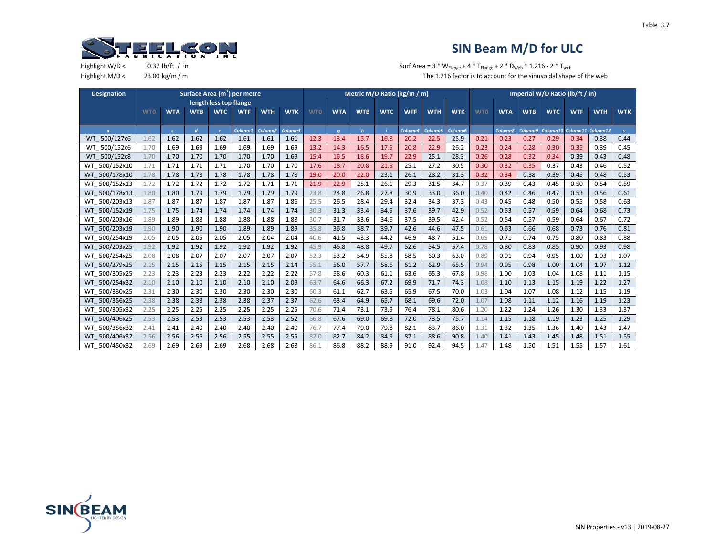

| <b>Designation</b>     |            |            |                |                        | Surface Area (m <sup>2</sup> ) per metre |                     |            |            |            |              |            | Metric M/D Ratio (kg/m / m) |            |                     |            |            |            | Imperial W/D Ratio (lb/ft / in) |                            |            |               |
|------------------------|------------|------------|----------------|------------------------|------------------------------------------|---------------------|------------|------------|------------|--------------|------------|-----------------------------|------------|---------------------|------------|------------|------------|---------------------------------|----------------------------|------------|---------------|
|                        |            |            |                | length less top flange |                                          |                     |            |            |            |              |            |                             |            |                     |            |            |            |                                 |                            |            |               |
|                        | <b>WTO</b> | <b>WTA</b> | <b>WTB</b>     | <b>WTC</b>             | <b>WTF</b>                               | <b>WTH</b>          | <b>WTK</b> | <b>WTO</b> | <b>WTA</b> | <b>WTB</b>   | <b>WTC</b> | <b>WTF</b>                  | <b>WTH</b> | <b>WTK</b>          | <b>WTO</b> | <b>WTA</b> | <b>WTB</b> | <b>WTC</b>                      | <b>WTF</b>                 | <b>WTH</b> | <b>WTK</b>    |
|                        |            |            |                |                        |                                          |                     |            |            |            |              |            |                             |            |                     |            |            |            |                                 |                            |            |               |
| $\sigma$               |            | $\epsilon$ | $\overline{d}$ | $\epsilon$             | Column1                                  | Column <sub>2</sub> | Column3    |            | q          | $\mathbf{h}$ | - 1        | Column4                     | Column5    | Column <sub>6</sub> |            | Column8    | Column9    |                                 | Column10 Column11 Column12 |            | $\mathcal{S}$ |
| 500/127x6<br><b>WT</b> | 1.62       | 1.62       | 1.62           | 1.62                   | 1.61                                     | 1.61                | 1.61       | 12.3       | 13.4       | 15.7         | 16.8       | 20.2                        | 22.5       | 25.9                | 0.21       | 0.23       | 0.27       | 0.29                            | 0.34                       | 0.38       | 0.44          |
| WT 500/152x6           | 1.70       | 1.69       | 1.69           | 1.69                   | 1.69                                     | 1.69                | 1.69       | 13.2       | 14.3       | 16.5         | 17.5       | 20.8                        | 22.9       | 26.2                | 0.23       | 0.24       | 0.28       | 0.30                            | 0.35                       | 0.39       | 0.45          |
| WT 500/152x8           | 1.70       | 1.70       | 1.70           | 1.70                   | 1.70                                     | 1.70                | 1.69       | 15.4       | 16.5       | 18.6         | 19.7       | 22.9                        | 25.1       | 28.3                | 0.26       | 0.28       | 0.32       | 0.34                            | 0.39                       | 0.43       | 0.48          |
| WT 500/152x10          | 1.71       | 1.71       | 1.71           | 1.71                   | 1.70                                     | 1.70                | 1.70       | 17.6       | 18.7       | 20.8         | 21.9       | 25.1                        | 27.2       | 30.5                | 0.30       | 0.32       | 0.35       | 0.37                            | 0.43                       | 0.46       | 0.52          |
| WT 500/178x10          | 1.78       | 1.78       | 1.78           | 1.78                   | 1.78                                     | 1.78                | 1.78       | 19.0       | 20.0       | 22.0         | 23.1       | 26.1                        | 28.2       | 31.3                | 0.32       | 0.34       | 0.38       | 0.39                            | 0.45                       | 0.48       | 0.53          |
| WT 500/152x13          | 1.72       | 1.72       | 1.72           | 1.72                   | 1.72                                     | 1.71                | 1.71       | 21.9       | 22.9       | 25.1         | 26.1       | 29.3                        | 31.5       | 34.7                | 0.37       | 0.39       | 0.43       | 0.45                            | 0.50                       | 0.54       | 0.59          |
| WT 500/178x13          | 1.80       | 1.80       | 1.79           | 1.79                   | 1.79                                     | 1.79                | 1.79       | 23.8       | 24.8       | 26.8         | 27.8       | 30.9                        | 33.0       | 36.0                | 0.40       | 0.42       | 0.46       | 0.47                            | 0.53                       | 0.56       | 0.61          |
| WT 500/203x13          | 1.87       | 1.87       | 1.87           | 1.87                   | 1.87                                     | 1.87                | 1.86       | 25.5       | 26.5       | 28.4         | 29.4       | 32.4                        | 34.3       | 37.3                | 0.43       | 0.45       | 0.48       | 0.50                            | 0.55                       | 0.58       | 0.63          |
| WT 500/152x19          | 1.75       | 1.75       | 1.74           | 1.74                   | 1.74                                     | 1.74                | 1.74       | 30.3       | 31.3       | 33.4         | 34.5       | 37.6                        | 39.7       | 42.9                | 0.52       | 0.53       | 0.57       | 0.59                            | 0.64                       | 0.68       | 0.73          |
| WT 500/203x16          | 1.89       | 1.89       | 1.88           | 1.88                   | 1.88                                     | 1.88                | 1.88       | 30.7       | 31.7       | 33.6         | 34.6       | 37.5                        | 39.5       | 42.4                | 0.52       | 0.54       | 0.57       | 0.59                            | 0.64                       | 0.67       | 0.72          |
| WT 500/203x19          | 1.90       | 1.90       | 1.90           | 1.90                   | 1.89                                     | 1.89                | 1.89       | 35.8       | 36.8       | 38.7         | 39.7       | 42.6                        | 44.6       | 47.5                | 0.61       | 0.63       | 0.66       | 0.68                            | 0.73                       | 0.76       | 0.81          |
| WT 500/254x19          | 2.05       | 2.05       | 2.05           | 2.05                   | 2.05                                     | 2.04                | 2.04       | 40.6       | 41.5       | 43.3         | 44.2       | 46.9                        | 48.7       | 51.4                | 0.69       | 0.71       | 0.74       | 0.75                            | 0.80                       | 0.83       | 0.88          |
| WT 500/203x25          | 1.92       | 1.92       | 1.92           | 1.92                   | 1.92                                     | 1.92                | 1.92       | 45.9       | 46.8       | 48.8         | 49.7       | 52.6                        | 54.5       | 57.4                | 0.78       | 0.80       | 0.83       | 0.85                            | 0.90                       | 0.93       | 0.98          |
| WT 500/254x25          | 2.08       | 2.08       | 2.07           | 2.07                   | 2.07                                     | 2.07                | 2.07       | 52.3       | 53.2       | 54.9         | 55.8       | 58.5                        | 60.3       | 63.0                | 0.89       | 0.91       | 0.94       | 0.95                            | 1.00                       | 1.03       | 1.07          |
| WT 500/279x25          | 2.15       | 2.15       | 2.15           | 2.15                   | 2.15                                     | 2.15                | 2.14       | 55.1       | 56.0       | 57.7         | 58.6       | 61.2                        | 62.9       | 65.5                | 0.94       | 0.95       | 0.98       | 1.00                            | 1.04                       | 1.07       | 1.12          |
| WT 500/305x25          | 2.23       | 2.23       | 2.23           | 2.23                   | 2.22                                     | 2.22                | 2.22       | 57.8       | 58.6       | 60.3         | 61.1       | 63.6                        | 65.3       | 67.8                | 0.98       | 1.00       | 1.03       | 1.04                            | 1.08                       | 1.11       | 1.15          |
| WT 500/254x32          | 2.10       | 2.10       | 2.10           | 2.10                   | 2.10                                     | 2.10                | 2.09       | 63.7       | 64.6       | 66.3         | 67.2       | 69.9                        | 71.7       | 74.3                | 1.08       | 1.10       | 1.13       | 1.15                            | 1.19                       | 1.22       | 1.27          |
| WT 500/330x25          | 2.31       | 2.30       | 2.30           | 2.30                   | 2.30                                     | 2.30                | 2.30       | 60.3       | 61.1       | 62.7         | 63.5       | 65.9                        | 67.5       | 70.0                | 1.03       | 1.04       | 1.07       | 1.08                            | 1.12                       | 1.15       | 1.19          |
| WT 500/356x25          | 2.38       | 2.38       | 2.38           | 2.38                   | 2.38                                     | 2.37                | 2.37       | 62.6       | 63.4       | 64.9         | 65.7       | 68.1                        | 69.6       | 72.0                | 1.07       | 1.08       | 1.11       | 1.12                            | 1.16                       | 1.19       | 1.23          |
| WT 500/305x32          | 2.25       | 2.25       | 2.25           | 2.25                   | 2.25                                     | 2.25                | 2.25       | 70.6       | 71.4       | 73.1         | 73.9       | 76.4                        | 78.1       | 80.6                | 1.20       | 1.22       | 1.24       | 1.26                            | 1.30                       | 1.33       | 1.37          |
| WT 500/406x25          | 2.53       | 2.53       | 2.53           | 2.53                   | 2.53                                     | 2.53                | 2.52       | 66.8       | 67.6       | 69.0         | 69.8       | 72.0                        | 73.5       | 75.7                | 1.14       | 1.15       | 1.18       | 1.19                            | 1.23                       | 1.25       | 1.29          |
| WT 500/356x32          | 2.41       | 2.41       | 2.40           | 2.40                   | 2.40                                     | 2.40                | 2.40       | 76.7       | 77.4       | 79.0         | 79.8       | 82.1                        | 83.7       | 86.0                | 1.31       | 1.32       | 1.35       | 1.36                            | 1.40                       | 1.43       | 1.47          |
| WT 500/406x32          | 2.56       | 2.56       | 2.56           | 2.56                   | 2.55                                     | 2.55                | 2.55       | 82.0       | 82.7       | 84.2         | 84.9       | 87.1                        | 88.6       | 90.8                | 1.40       | 1.41       | 1.43       | 1.45                            | 1.48                       | 1.51       | 1.55          |
| WT 500/450x32          | 2.69       | 2.69       | 2.69           | 2.69                   | 2.68                                     | 2.68                | 2.68       | 86.1       | 86.8       | 88.2         | 88.9       | 91.0                        | 92.4       | 94.5                | 1.47       | 1.48       | 1.50       | 1.51                            | 1.55                       | 1.57       | 1.61          |

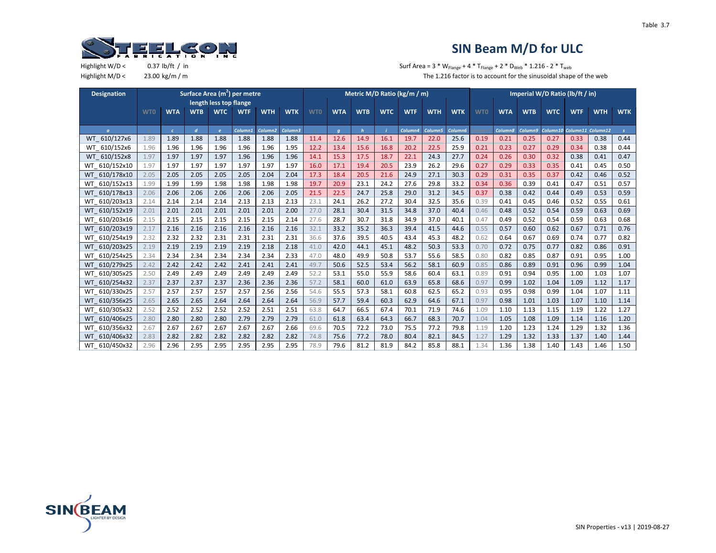

| <b>Designation</b>      |            |            |                  |                        | Surface Area (m <sup>2</sup> ) per metre |                     |            |            |            |            |            | Metric M/D Ratio (kg/m / m) |            |            |            |                    |            | Imperial W/D Ratio (lb/ft / in) |            |                   |            |
|-------------------------|------------|------------|------------------|------------------------|------------------------------------------|---------------------|------------|------------|------------|------------|------------|-----------------------------|------------|------------|------------|--------------------|------------|---------------------------------|------------|-------------------|------------|
|                         |            |            |                  | length less top flange |                                          |                     |            |            |            |            |            |                             |            |            |            |                    |            |                                 |            |                   |            |
|                         | <b>WTO</b> | <b>WTA</b> | <b>WTB</b>       | <b>WTC</b>             | <b>WTF</b>                               | <b>WTH</b>          | <b>WTK</b> | <b>WTO</b> | <b>WTA</b> | <b>WTB</b> | <b>WTC</b> | <b>WTF</b>                  | <b>WTH</b> | <b>WTK</b> | <b>WTO</b> | <b>WTA</b>         | <b>WTB</b> | <b>WTC</b>                      | <b>WTF</b> | <b>WTH</b>        | <b>WTK</b> |
|                         |            |            |                  |                        |                                          |                     |            |            |            |            |            |                             |            |            |            |                    |            |                                 |            |                   |            |
| $\sigma$                |            | $\epsilon$ | $\boldsymbol{d}$ | $\mathbf{e}$           | Column1                                  | Column <sub>2</sub> | Column3    |            | q          | h          |            | Column4                     | Column5    | Column6    |            | <b>Column&amp;</b> | Column9    | Column10                        |            | Column11 Column12 |            |
| WT 610/127x6            | 1.89       | 1.89       | 1.88             | 1.88                   | 1.88                                     | 1.88                | 1.88       | 11.4       | 12.6       | 14.9       | 16.1       | 19.7                        | 22.0       | 25.6       | 0.19       | 0.21               | 0.25       | 0.27                            | 0.33       | 0.38              | 0.44       |
| 610/152x6<br>WT         | 1.96       | 1.96       | 1.96             | 1.96                   | 1.96                                     | 1.96                | 1.95       | 12.2       | 13.4       | 15.6       | 16.8       | 20.2                        | 22.5       | 25.9       | 0.21       | 0.23               | 0.27       | 0.29                            | 0.34       | 0.38              | 0.44       |
| WT 610/152x8            | 1.97       | 1.97       | 1.97             | 1.97                   | 1.96                                     | 1.96                | 1.96       | 14.1       | 15.3       | 17.5       | 18.7       | 22.1                        | 24.3       | 27.7       | 0.24       | 0.26               | 0.30       | 0.32                            | 0.38       | 0.41              | 0.47       |
| WT 610/152x10           | 1.97       | 1.97       | 1.97             | 1.97                   | 1.97                                     | 1.97                | 1.97       | 16.0       | 17.1       | 19.4       | 20.5       | 23.9                        | 26.2       | 29.6       | 0.27       | 0.29               | 0.33       | 0.35                            | 0.41       | 0.45              | 0.50       |
| WT 610/178x10           | 2.05       | 2.05       | 2.05             | 2.05                   | 2.05                                     | 2.04                | 2.04       | 17.3       | 18.4       | 20.5       | 21.6       | 24.9                        | 27.1       | 30.3       | 0.29       | 0.31               | 0.35       | 0.37                            | 0.42       | 0.46              | 0.52       |
| WT 610/152x13           | 1.99       | 1.99       | 1.99             | 1.98                   | 1.98                                     | 1.98                | 1.98       | 19.7       | 20.9       | 23.1       | 24.2       | 27.6                        | 29.8       | 33.2       | 0.34       | 0.36               | 0.39       | 0.41                            | 0.47       | 0.51              | 0.57       |
| WT 610/178x13           | 2.06       | 2.06       | 2.06             | 2.06                   | 2.06                                     | 2.06                | 2.05       | 21.5       | 22.5       | 24.7       | 25.8       | 29.0                        | 31.2       | 34.5       | 0.37       | 0.38               | 0.42       | 0.44                            | 0.49       | 0.53              | 0.59       |
| WT 610/203x13           | 2.14       | 2.14       | 2.14             | 2.14                   | 2.13                                     | 2.13                | 2.13       | 23.1       | 24.1       | 26.2       | 27.2       | 30.4                        | 32.5       | 35.6       | 0.39       | 0.41               | 0.45       | 0.46                            | 0.52       | 0.55              | 0.61       |
| WT 610/152x19           | 2.01       | 2.01       | 2.01             | 2.01                   | 2.01                                     | 2.01                | 2.00       | 27.0       | 28.1       | 30.4       | 31.5       | 34.8                        | 37.0       | 40.4       | 0.46       | 0.48               | 0.52       | 0.54                            | 0.59       | 0.63              | 0.69       |
| WT 610/203x16           | 2.15       | 2.15       | 2.15             | 2.15                   | 2.15                                     | 2.15                | 2.14       | 27.6       | 28.7       | 30.7       | 31.8       | 34.9                        | 37.0       | 40.1       | 0.47       | 0.49               | 0.52       | 0.54                            | 0.59       | 0.63              | 0.68       |
| WT 610/203x19           | 2.17       | 2.16       | 2.16             | 2.16                   | 2.16                                     | 2.16                | 2.16       | 32.1       | 33.2       | 35.2       | 36.3       | 39.4                        | 41.5       | 44.6       | 0.55       | 0.57               | 0.60       | 0.62                            | 0.67       | 0.71              | 0.76       |
| WT 610/254x19           | 2.32       | 2.32       | 2.32             | 2.31                   | 2.31                                     | 2.31                | 2.31       | 36.6       | 37.6       | 39.5       | 40.5       | 43.4                        | 45.3       | 48.2       | 0.62       | 0.64               | 0.67       | 0.69                            | 0.74       | 0.77              | 0.82       |
| WT 610/203x25           | 2.19       | 2.19       | 2.19             | 2.19                   | 2.19                                     | 2.18                | 2.18       | 41.0       | 42.0       | 44.1       | 45.1       | 48.2                        | 50.3       | 53.3       | 0.70       | 0.72               | 0.75       | 0.77                            | 0.82       | 0.86              | 0.91       |
| 610/254x25<br>WT        | 2.34       | 2.34       | 2.34             | 2.34                   | 2.34                                     | 2.34                | 2.33       | 47.0       | 48.0       | 49.9       | 50.8       | 53.7                        | 55.6       | 58.5       | 0.80       | 0.82               | 0.85       | 0.87                            | 0.91       | 0.95              | 1.00       |
| WT 610/279x25           | 2.42       | 2.42       | 2.42             | 2.42                   | 2.41                                     | 2.41                | 2.41       | 49.7       | 50.6       | 52.5       | 53.4       | 56.2                        | 58.1       | 60.9       | 0.85       | 0.86               | 0.89       | 0.91                            | 0.96       | 0.99              | 1.04       |
| WT 610/305x25           | 2.50       | 2.49       | 2.49             | 2.49                   | 2.49                                     | 2.49                | 2.49       | 52.2       | 53.1       | 55.0       | 55.9       | 58.6                        | 60.4       | 63.1       | 0.89       | 0.91               | 0.94       | 0.95                            | 1.00       | 1.03              | 1.07       |
| WT 610/254x32           | 2.37       | 2.37       | 2.37             | 2.37                   | 2.36                                     | 2.36                | 2.36       | 57.2       | 58.1       | 60.0       | 61.0       | 63.9                        | 65.8       | 68.6       | 0.97       | 0.99               | 1.02       | 1.04                            | 1.09       | 1.12              | 1.17       |
| WT 610/330x25           | 2.57       | 2.57       | 2.57             | 2.57                   | 2.57                                     | 2.56                | 2.56       | 54.6       | 55.5       | 57.3       | 58.1       | 60.8                        | 62.5       | 65.2       | 0.93       | 0.95               | 0.98       | 0.99                            | 1.04       | 1.07              | 1.11       |
| WT 610/356x25           | 2.65       | 2.65       | 2.65             | 2.64                   | 2.64                                     | 2.64                | 2.64       | 56.9       | 57.7       | 59.4       | 60.3       | 62.9                        | 64.6       | 67.1       | 0.97       | 0.98               | 1.01       | 1.03                            | 1.07       | 1.10              | 1.14       |
| WT 610/305x32           | 2.52       | 2.52       | 2.52             | 2.52                   | 2.52                                     | 2.51                | 2.51       | 63.8       | 64.7       | 66.5       | 67.4       | 70.1                        | 71.9       | 74.6       | 1.09       | 1.10               | 1.13       | 1.15                            | 1.19       | 1.22              | 1.27       |
| 610/406x25<br><b>WT</b> | 2.80       | 2.80       | 2.80             | 2.80                   | 2.79                                     | 2.79                | 2.79       | 61.0       | 61.8       | 63.4       | 64.3       | 66.7                        | 68.3       | 70.7       | 1.04       | 1.05               | 1.08       | 1.09                            | 1.14       | 1.16              | 1.20       |
| WT 610/356x32           | 2.67       | 2.67       | 2.67             | 2.67                   | 2.67                                     | 2.67                | 2.66       | 69.6       | 70.5       | 72.2       | 73.0       | 75.5                        | 77.2       | 79.8       | 1.19       | 1.20               | 1.23       | 1.24                            | 1.29       | 1.32              | 1.36       |
| WT 610/406x32           | 2.83       | 2.82       | 2.82             | 2.82                   | 2.82                                     | 2.82                | 2.82       | 74.8       | 75.6       | 77.2       | 78.0       | 80.4                        | 82.1       | 84.5       | 1.27       | 1.29               | 1.32       | 1.33                            | 1.37       | 1.40              | 1.44       |
| WT 610/450x32           | 2.96       | 2.96       | 2.95             | 2.95                   | 2.95                                     | 2.95                | 2.95       | 78.9       | 79.6       | 81.2       | 81.9       | 84.2                        | 85.8       | 88.1       | 1.34       | 1.36               | 1.38       | 1.40                            | 1.43       | 1.46              | 1.50       |

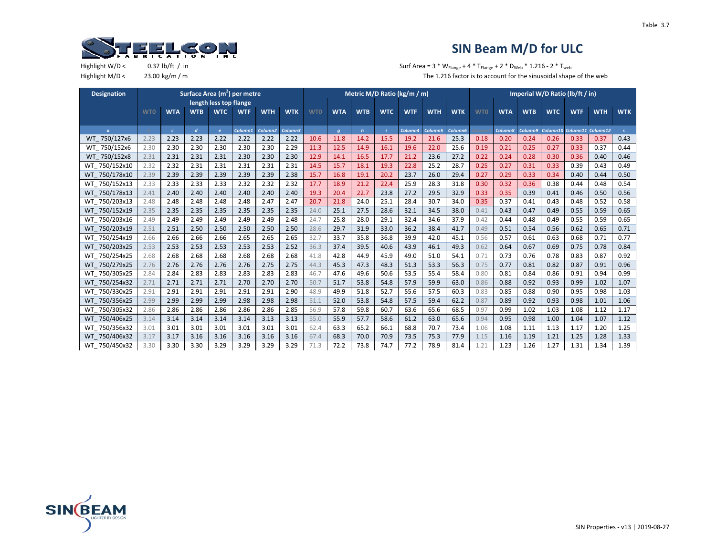

| <b>Designation</b>     |            |            |                |                        | Surface Area (m <sup>2</sup> ) per metre |                     |            |            |            |              |            | Metric M/D Ratio (kg/m / m) |            |            |            |            |            | Imperial W/D Ratio (lb/ft / in) |            |                   |               |
|------------------------|------------|------------|----------------|------------------------|------------------------------------------|---------------------|------------|------------|------------|--------------|------------|-----------------------------|------------|------------|------------|------------|------------|---------------------------------|------------|-------------------|---------------|
|                        |            |            |                | length less top flange |                                          |                     |            |            |            |              |            |                             |            |            |            |            |            |                                 |            |                   |               |
|                        | <b>WTO</b> | <b>WTA</b> | <b>WTB</b>     | <b>WTC</b>             | <b>WTF</b>                               | <b>WTH</b>          | <b>WTK</b> | <b>WTO</b> | <b>WTA</b> | <b>WTB</b>   | <b>WTC</b> | <b>WTF</b>                  | <b>WTH</b> | <b>WTK</b> | <b>WTO</b> | <b>WTA</b> | <b>WTB</b> | <b>WTC</b>                      | <b>WTF</b> | <b>WTH</b>        | <b>WTK</b>    |
|                        |            |            |                |                        |                                          |                     |            |            |            |              |            |                             |            |            |            |            |            |                                 |            |                   |               |
| $\sigma$               |            | $\epsilon$ | $\overline{d}$ | $\epsilon$             | Column1                                  | Column <sub>2</sub> | Column3    |            | q          | $\mathbf{h}$ |            | Column4                     | Column5    | Column6    |            | Column8    | Column9    | Column10                        |            | Column11 Column12 | $\mathcal{S}$ |
| 750/127x6<br><b>WT</b> | 2.23       | 2.23       | 2.23           | 2.22                   | 2.22                                     | 2.22                | 2.22       | 10.6       | 11.8       | 14.2         | 15.5       | 19.2                        | 21.6       | 25.3       | 0.18       | 0.20       | 0.24       | 0.26                            | 0.33       | 0.37              | 0.43          |
| WT 750/152x6           | 2.30       | 2.30       | 2.30           | 2.30                   | 2.30                                     | 2.30                | 2.29       | 11.3       | 12.5       | 14.9         | 16.1       | 19.6                        | 22.0       | 25.6       | 0.19       | 0.21       | 0.25       | 0.27                            | 0.33       | 0.37              | 0.44          |
| WT 750/152x8           | 2.31       | 2.31       | 2.31           | 2.31                   | 2.30                                     | 2.30                | 2.30       | 12.9       | 14.1       | 16.5         | 17.7       | 21.2                        | 23.6       | 27.2       | 0.22       | 0.24       | 0.28       | 0.30                            | 0.36       | 0.40              | 0.46          |
| WT 750/152x10          | 2.32       | 2.32       | 2.31           | 2.31                   | 2.31                                     | 2.31                | 2.31       | 14.5       | 15.7       | 18.1         | 19.3       | 22.8                        | 25.2       | 28.7       | 0.25       | 0.27       | 0.31       | 0.33                            | 0.39       | 0.43              | 0.49          |
| WT 750/178x10          | 2.39       | 2.39       | 2.39           | 2.39                   | 2.39                                     | 2.39                | 2.38       | 15.7       | 16.8       | 19.1         | 20.2       | 23.7                        | 26.0       | 29.4       | 0.27       | 0.29       | 0.33       | 0.34                            | 0.40       | 0.44              | 0.50          |
| WT 750/152x13          | 2.33       | 2.33       | 2.33           | 2.33                   | 2.32                                     | 2.32                | 2.32       | 17.7       | 18.9       | 21.2         | 22.4       | 25.9                        | 28.3       | 31.8       | 0.30       | 0.32       | 0.36       | 0.38                            | 0.44       | 0.48              | 0.54          |
| WT 750/178x13          | 2.41       | 2.40       | 2.40           | 2.40                   | 2.40                                     | 2.40                | 2.40       | 19.3       | 20.4       | 22.7         | 23.8       | 27.2                        | 29.5       | 32.9       | 0.33       | 0.35       | 0.39       | 0.41                            | 0.46       | 0.50              | 0.56          |
| WT 750/203x13          | 2.48       | 2.48       | 2.48           | 2.48                   | 2.48                                     | 2.47                | 2.47       | 20.7       | 21.8       | 24.0         | 25.1       | 28.4                        | 30.7       | 34.0       | 0.35       | 0.37       | 0.41       | 0.43                            | 0.48       | 0.52              | 0.58          |
| WT 750/152x19          | 2.35       | 2.35       | 2.35           | 2.35                   | 2.35                                     | 2.35                | 2.35       | 24.0       | 25.1       | 27.5         | 28.6       | 32.1                        | 34.5       | 38.0       | 0.41       | 0.43       | 0.47       | 0.49                            | 0.55       | 0.59              | 0.65          |
| WT 750/203x16          | 2.49       | 2.49       | 2.49           | 2.49                   | 2.49                                     | 2.49                | 2.48       | 24.7       | 25.8       | 28.0         | 29.1       | 32.4                        | 34.6       | 37.9       | 0.42       | 0.44       | 0.48       | 0.49                            | 0.55       | 0.59              | 0.65          |
| WT 750/203x19          | 2.51       | 2.51       | 2.50           | 2.50                   | 2.50                                     | 2.50                | 2.50       | 28.6       | 29.7       | 31.9         | 33.0       | 36.2                        | 38.4       | 41.7       | 0.49       | 0.51       | 0.54       | 0.56                            | 0.62       | 0.65              | 0.71          |
| WT 750/254x19          | 2.66       | 2.66       | 2.66           | 2.66                   | 2.65                                     | 2.65                | 2.65       | 32.7       | 33.7       | 35.8         | 36.8       | 39.9                        | 42.0       | 45.1       | 0.56       | 0.57       | 0.61       | 0.63                            | 0.68       | 0.71              | 0.77          |
| WT 750/203x25          | 2.53       | 2.53       | 2.53           | 2.53                   | 2.53                                     | 2.53                | 2.52       | 36.3       | 37.4       | 39.5         | 40.6       | 43.9                        | 46.1       | 49.3       | 0.62       | 0.64       | 0.67       | 0.69                            | 0.75       | 0.78              | 0.84          |
| WT 750/254x25          | 2.68       | 2.68       | 2.68           | 2.68                   | 2.68                                     | 2.68                | 2.68       | 41.8       | 42.8       | 44.9         | 45.9       | 49.0                        | 51.0       | 54.1       | 0.71       | 0.73       | 0.76       | 0.78                            | 0.83       | 0.87              | 0.92          |
| WT 750/279x25          | 2.76       | 2.76       | 2.76           | 2.76                   | 2.76                                     | 2.75                | 2.75       | 44.3       | 45.3       | 47.3         | 48.3       | 51.3                        | 53.3       | 56.3       | 0.75       | 0.77       | 0.81       | 0.82                            | 0.87       | 0.91              | 0.96          |
| WT 750/305x25          | 2.84       | 2.84       | 2.83           | 2.83                   | 2.83                                     | 2.83                | 2.83       | 46.7       | 47.6       | 49.6         | 50.6       | 53.5                        | 55.4       | 58.4       | 0.80       | 0.81       | 0.84       | 0.86                            | 0.91       | 0.94              | 0.99          |
| WT 750/254x32          | 2.71       | 2.71       | 2.71           | 2.71                   | 2.70                                     | 2.70                | 2.70       | 50.7       | 51.7       | 53.8         | 54.8       | 57.9                        | 59.9       | 63.0       | 0.86       | 0.88       | 0.92       | 0.93                            | 0.99       | 1.02              | 1.07          |
| WT 750/330x25          | 2.91       | 2.91       | 2.91           | 2.91                   | 2.91                                     | 2.91                | 2.90       | 48.9       | 49.9       | 51.8         | 52.7       | 55.6                        | 57.5       | 60.3       | 0.83       | 0.85       | 0.88       | 0.90                            | 0.95       | 0.98              | 1.03          |
| WT 750/356x25          | 2.99       | 2.99       | 2.99           | 2.99                   | 2.98                                     | 2.98                | 2.98       | 51.1       | 52.0       | 53.8         | 54.8       | 57.5                        | 59.4       | 62.2       | 0.87       | 0.89       | 0.92       | 0.93                            | 0.98       | 1.01              | 1.06          |
| WT 750/305x32          | 2.86       | 2.86       | 2.86           | 2.86                   | 2.86                                     | 2.86                | 2.85       | 56.9       | 57.8       | 59.8         | 60.7       | 63.6                        | 65.6       | 68.5       | 0.97       | 0.99       | 1.02       | 1.03                            | 1.08       | 1.12              | 1.17          |
| WT 750/406x25          | 3.14       | 3.14       | 3.14           | 3.14                   | 3.14                                     | 3.13                | 3.13       | 55.0       | 55.9       | 57.7         | 58.6       | 61.2                        | 63.0       | 65.6       | 0.94       | 0.95       | 0.98       | 1.00                            | 1.04       | 1.07              | 1.12          |
| WT 750/356x32          | 3.01       | 3.01       | 3.01           | 3.01                   | 3.01                                     | 3.01                | 3.01       | 62.4       | 63.3       | 65.2         | 66.1       | 68.8                        | 70.7       | 73.4       | 1.06       | 1.08       | 1.11       | 1.13                            | 1.17       | 1.20              | 1.25          |
| WT 750/406x32          | 3.17       | 3.17       | 3.16           | 3.16                   | 3.16                                     | 3.16                | 3.16       | 67.4       | 68.3       | 70.0         | 70.9       | 73.5                        | 75.3       | 77.9       | 1.15       | 1.16       | 1.19       | 1.21                            | 1.25       | 1.28              | 1.33          |
| WT 750/450x32          | 3.30       | 3.30       | 3.30           | 3.29                   | 3.29                                     | 3.29                | 3.29       | 71.3       | 72.2       | 73.8         | 74.7       | 77.2                        | 78.9       | 81.4       | 1.21       | 1.23       | 1.26       | 1.27                            | 1.31       | 1.34              | 1.39          |

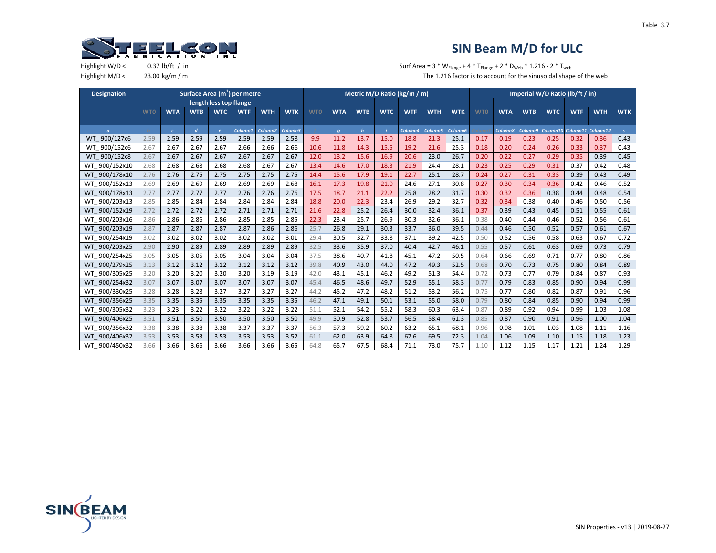

Highlight W/D <  $0.37 \text{ lb/ft } / \text{ in }$   $5.37 \text{ lb/ft } / \text{ in }$   $5.37 \text{ lb/ft } / \text{ in }$ Highlight M/D < 23.00 kg/m / m  $\blacksquare$  m The 1.216 factor is to account for the sinusoidal shape of the web

| <b>Designation</b> |            |            |                |            | Surface Area (m <sup>2</sup> ) per metre |                     |            |            |            |             |            | Metric M/D Ratio (kg/m / m) |            |                     |            |            |            | Imperial W/D Ratio (lb/ft / in) |            |                   |               |
|--------------------|------------|------------|----------------|------------|------------------------------------------|---------------------|------------|------------|------------|-------------|------------|-----------------------------|------------|---------------------|------------|------------|------------|---------------------------------|------------|-------------------|---------------|
|                    |            |            |                |            | length less top flange                   |                     |            |            |            |             |            |                             |            |                     |            |            |            |                                 |            |                   |               |
|                    | <b>WTO</b> | <b>WTA</b> | <b>WTB</b>     | <b>WTC</b> | <b>WTF</b>                               | <b>WTH</b>          | <b>WTK</b> | <b>WTO</b> | <b>WTA</b> | <b>WTB</b>  | <b>WTC</b> | <b>WTF</b>                  | <b>WTH</b> | <b>WTK</b>          | <b>WTO</b> | <b>WTA</b> | <b>WTB</b> | <b>WTC</b>                      | <b>WTF</b> | <b>WTH</b>        | <b>WTK</b>    |
|                    |            |            |                |            |                                          |                     |            |            |            |             |            |                             |            |                     |            |            |            |                                 |            |                   |               |
| $\sigma$           |            | $\epsilon$ | $\overline{d}$ | $\epsilon$ | Column <sub>1</sub>                      | Column <sub>2</sub> | Column3    |            | $\sigma$   | $\mathbf h$ |            | Column4                     | Column5    | Column <sub>6</sub> |            | Column8    | Column9    | Column10                        |            | Column11 Column12 | $\mathcal{S}$ |
| WT 900/127x6       | 2.59       | 2.59       | 2.59           | 2.59       | 2.59                                     | 2.59                | 2.58       | 9.9        | 11.2       | 13.7        | 15.0       | 18.8                        | 21.3       | 25.1                | 0.17       | 0.19       | 0.23       | 0.25                            | 0.32       | 0.36              | 0.43          |
| WT 900/152x6       | 2.67       | 2.67       | 2.67           | 2.67       | 2.66                                     | 2.66                | 2.66       | 10.6       | 11.8       | 14.3        | 15.5       | 19.2                        | 21.6       | 25.3                | 0.18       | 0.20       | 0.24       | 0.26                            | 0.33       | 0.37              | 0.43          |
| WT 900/152x8       | 2.67       | 2.67       | 2.67           | 2.67       | 2.67                                     | 2.67                | 2.67       | 12.0       | 13.2       | 15.6        | 16.9       | 20.6                        | 23.0       | 26.7                | 0.20       | 0.22       | 0.27       | 0.29                            | 0.35       | 0.39              | 0.45          |
| WT 900/152x10      | 2.68       | 2.68       | 2.68           | 2.68       | 2.68                                     | 2.67                | 2.67       | 13.4       | 14.6       | 17.0        | 18.3       | 21.9                        | 24.4       | 28.1                | 0.23       | 0.25       | 0.29       | 0.31                            | 0.37       | 0.42              | 0.48          |
| WT 900/178x10      | 2.76       | 2.76       | 2.75           | 2.75       | 2.75                                     | 2.75                | 2.75       | 14.4       | 15.6       | 17.9        | 19.1       | 22.7                        | 25.1       | 28.7                | 0.24       | 0.27       | 0.31       | 0.33                            | 0.39       | 0.43              | 0.49          |
| WT 900/152x13      | 2.69       | 2.69       | 2.69           | 2.69       | 2.69                                     | 2.69                | 2.68       | 16.1       | 17.3       | 19.8        | 21.0       | 24.6                        | 27.1       | 30.8                | 0.27       | 0.30       | 0.34       | 0.36                            | 0.42       | 0.46              | 0.52          |
| WT 900/178x13      | 2.77       | 2.77       | 2.77           | 2.77       | 2.76                                     | 2.76                | 2.76       | 17.5       | 18.7       | 21.1        | 22.2       | 25.8                        | 28.2       | 31.7                | 0.30       | 0.32       | 0.36       | 0.38                            | 0.44       | 0.48              | 0.54          |
| 900/203x13<br>WT   | 2.85       | 2.85       | 2.84           | 2.84       | 2.84                                     | 2.84                | 2.84       | 18.8       | 20.0       | 22.3        | 23.4       | 26.9                        | 29.2       | 32.7                | 0.32       | 0.34       | 0.38       | 0.40                            | 0.46       | 0.50              | 0.56          |
| WT 900/152x19      | 2.72       | 2.72       | 2.72           | 2.72       | 2.71                                     | 2.71                | 2.71       | 21.6       | 22.8       | 25.2        | 26.4       | 30.0                        | 32.4       | 36.1                | 0.37       | 0.39       | 0.43       | 0.45                            | 0.51       | 0.55              | 0.61          |
| WT 900/203x16      | 2.86       | 2.86       | 2.86           | 2.86       | 2.85                                     | 2.85                | 2.85       | 22.3       | 23.4       | 25.7        | 26.9       | 30.3                        | 32.6       | 36.1                | 0.38       | 0.40       | 0.44       | 0.46                            | 0.52       | 0.56              | 0.61          |
| WT 900/203x19      | 2.87       | 2.87       | 2.87           | 2.87       | 2.87                                     | 2.86                | 2.86       | 25.7       | 26.8       | 29.1        | 30.3       | 33.7                        | 36.0       | 39.5                | 0.44       | 0.46       | 0.50       | 0.52                            | 0.57       | 0.61              | 0.67          |
| WT 900/254x19      | 3.02       | 3.02       | 3.02           | 3.02       | 3.02                                     | 3.02                | 3.01       | 29.4       | 30.5       | 32.7        | 33.8       | 37.1                        | 39.2       | 42.5                | 0.50       | 0.52       | 0.56       | 0.58                            | 0.63       | 0.67              | 0.72          |
| WT 900/203x25      | 2.90       | 2.90       | 2.89           | 2.89       | 2.89                                     | 2.89                | 2.89       | 32.5       | 33.6       | 35.9        | 37.0       | 40.4                        | 42.7       | 46.1                | 0.55       | 0.57       | 0.61       | 0.63                            | 0.69       | 0.73              | 0.79          |
| WT 900/254x25      | 3.05       | 3.05       | 3.05           | 3.05       | 3.04                                     | 3.04                | 3.04       | 37.5       | 38.6       | 40.7        | 41.8       | 45.1                        | 47.2       | 50.5                | 0.64       | 0.66       | 0.69       | 0.71                            | 0.77       | 0.80              | 0.86          |
| WT 900/279x25      | 3.13       | 3.12       | 3.12           | 3.12       | 3.12                                     | 3.12                | 3.12       | 39.8       | 40.9       | 43.0        | 44.0       | 47.2                        | 49.3       | 52.5                | 0.68       | 0.70       | 0.73       | 0.75                            | 0.80       | 0.84              | 0.89          |
| WT 900/305x25      | 3.20       | 3.20       | 3.20           | 3.20       | 3.20                                     | 3.19                | 3.19       | 42.0       | 43.1       | 45.1        | 46.2       | 49.2                        | 51.3       | 54.4                | 0.72       | 0.73       | 0.77       | 0.79                            | 0.84       | 0.87              | 0.93          |
| WT 900/254x32      | 3.07       | 3.07       | 3.07           | 3.07       | 3.07                                     | 3.07                | 3.07       | 45.4       | 46.5       | 48.6        | 49.7       | 52.9                        | 55.1       | 58.3                | 0.77       | 0.79       | 0.83       | 0.85                            | 0.90       | 0.94              | 0.99          |
| WT 900/330x25      | 3.28       | 3.28       | 3.28           | 3.27       | 3.27                                     | 3.27                | 3.27       | 44.2       | 45.2       | 47.2        | 48.2       | 51.2                        | 53.2       | 56.2                | 0.75       | 0.77       | 0.80       | 0.82                            | 0.87       | 0.91              | 0.96          |
| WT 900/356x25      | 3.35       | 3.35       | 3.35           | 3.35       | 3.35                                     | 3.35                | 3.35       | 46.2       | 47.1       | 49.1        | 50.1       | 53.1                        | 55.0       | 58.0                | 0.79       | 0.80       | 0.84       | 0.85                            | 0.90       | 0.94              | 0.99          |
| WT 900/305x32      | 3.23       | 3.23       | 3.22           | 3.22       | 3.22                                     | 3.22                | 3.22       | 51.1       | 52.1       | 54.2        | 55.2       | 58.3                        | 60.3       | 63.4                | 0.87       | 0.89       | 0.92       | 0.94                            | 0.99       | 1.03              | 1.08          |
| WT 900/406x25      | 3.51       | 3.51       | 3.50           | 3.50       | 3.50                                     | 3.50                | 3.50       | 49.9       | 50.9       | 52.8        | 53.7       | 56.5                        | 58.4       | 61.3                | 0.85       | 0.87       | 0.90       | 0.91                            | 0.96       | 1.00              | 1.04          |
| WT 900/356x32      | 3.38       | 3.38       | 3.38           | 3.38       | 3.37                                     | 3.37                | 3.37       | 56.3       | 57.3       | 59.2        | 60.2       | 63.2                        | 65.1       | 68.1                | 0.96       | 0.98       | 1.01       | 1.03                            | 1.08       | 1.11              | 1.16          |
| WT 900/406x32      | 3.53       | 3.53       | 3.53           | 3.53       | 3.53                                     | 3.53                | 3.52       | 61.1       | 62.0       | 63.9        | 64.8       | 67.6                        | 69.5       | 72.3                | 1.04       | 1.06       | 1.09       | 1.10                            | 1.15       | 1.18              | 1.23          |
| WT 900/450x32      | 3.66       | 3.66       | 3.66           | 3.66       | 3.66                                     | 3.66                | 3.65       | 64.8       | 65.7       | 67.5        | 68.4       | 71.1                        | 73.0       | 75.7                | 1.10       | 1.12       | 1.15       | 1.17                            | 1.21       | 1.24              | 1.29          |

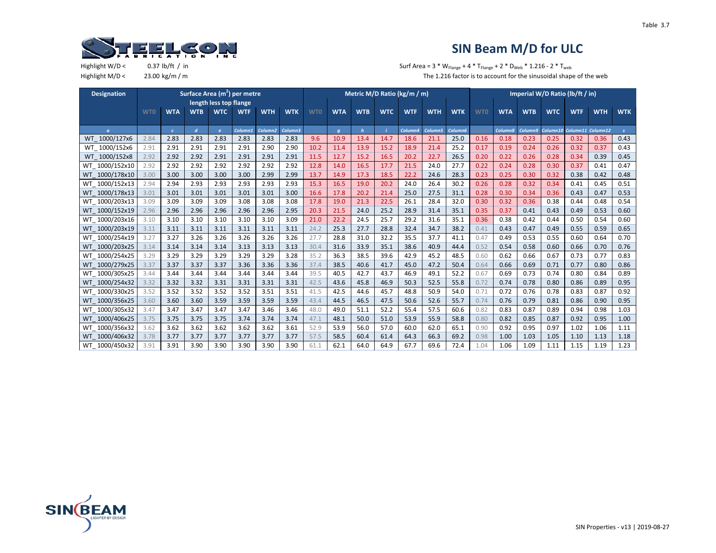

Highlight W/D <  $0.37 \text{ lb/ft } / \text{ in }$   $5.37 \text{ lb/ft } / \text{ in }$   $5.37 \text{ lb/ft } / \text{ in }$ Highlight M/D < 23.00 kg/m / m  $\blacksquare$  m The 1.216 factor is to account for the sinusoidal shape of the web

| <b>Designation</b>       |            |            |                |                        | Surface Area (m <sup>2</sup> ) per metre |                     |            |            |            |              |            | Metric M/D Ratio (kg/m / m) |            |                     |            |            | Imperial W/D Ratio (lb/ft / in) |            |            |                   |               |
|--------------------------|------------|------------|----------------|------------------------|------------------------------------------|---------------------|------------|------------|------------|--------------|------------|-----------------------------|------------|---------------------|------------|------------|---------------------------------|------------|------------|-------------------|---------------|
|                          |            |            |                | length less top flange |                                          |                     |            |            |            |              |            |                             |            |                     |            |            |                                 |            |            |                   |               |
|                          | <b>WTO</b> | <b>WTA</b> | <b>WTB</b>     | <b>WTC</b>             | <b>WTF</b>                               | <b>WTH</b>          | <b>WTK</b> | <b>WTO</b> | <b>WTA</b> | <b>WTB</b>   | <b>WTC</b> | <b>WTF</b>                  | <b>WTH</b> | <b>WTK</b>          | <b>WTO</b> | <b>WTA</b> | <b>WTB</b>                      | <b>WTC</b> | <b>WTF</b> | <b>WTH</b>        | <b>WTK</b>    |
|                          |            |            |                |                        |                                          |                     |            |            |            |              |            |                             |            |                     |            |            |                                 |            |            |                   |               |
| $\sigma$                 |            | $\epsilon$ | $\overline{d}$ | $\mathbf{e}$           | Column1                                  | Column <sub>2</sub> | Column3    |            | $\sigma$   | $\mathbf{h}$ |            | Column4                     | Column5    | Column <sub>6</sub> |            | Column8    | Column9                         | Column10   |            | Column11 Column12 | $\mathcal{S}$ |
| 1000/127x6<br>WT.        | 2.84       | 2.83       | 2.83           | 2.83                   | 2.83                                     | 2.83                | 2.83       | 9.6        | 10.9       | 13.4         | 14.7       | 18.6                        | 21.1       | 25.0                | 0.16       | 0.18       | 0.23                            | 0.25       | 0.32       | 0.36              | 0.43          |
| WT 1000/152x6            | 2.91       | 2.91       | 2.91           | 2.91                   | 2.91                                     | 2.90                | 2.90       | 10.2       | 11.4       | 13.9         | 15.2       | 18.9                        | 21.4       | 25.2                | 0.17       | 0.19       | 0.24                            | 0.26       | 0.32       | 0.37              | 0.43          |
| WT 1000/152x8            | 2.92       | 2.92       | 2.92           | 2.91                   | 2.91                                     | 2.91                | 2.91       | 11.5       | 12.7       | 15.2         | 16.5       | 20.2                        | 22.7       | 26.5                | 0.20       | 0.22       | 0.26                            | 0.28       | 0.34       | 0.39              | 0.45          |
| WT 1000/152x10           | 2.92       | 2.92       | 2.92           | 2.92                   | 2.92                                     | 2.92                | 2.92       | 12.8       | 14.0       | 16.5         | 17.7       | 21.5                        | 24.0       | 27.7                | 0.22       | 0.24       | 0.28                            | 0.30       | 0.37       | 0.41              | 0.47          |
| 1000/178x10<br><b>WT</b> | 3.00       | 3.00       | 3.00           | 3.00                   | 3.00                                     | 2.99                | 2.99       | 13.7       | 14.9       | 17.3         | 18.5       | 22.2                        | 24.6       | 28.3                | 0.23       | 0.25       | 0.30                            | 0.32       | 0.38       | 0.42              | 0.48          |
| WT_1000/152x13           | 2.94       | 2.94       | 2.93           | 2.93                   | 2.93                                     | 2.93                | 2.93       | 15.3       | 16.5       | 19.0         | 20.2       | 24.0                        | 26.4       | 30.2                | 0.26       | 0.28       | 0.32                            | 0.34       | 0.41       | 0.45              | 0.51          |
| WT 1000/178x13           | 3.01       | 3.01       | 3.01           | 3.01                   | 3.01                                     | 3.01                | 3.00       | 16.6       | 17.8       | 20.2         | 21.4       | 25.0                        | 27.5       | 31.1                | 0.28       | 0.30       | 0.34                            | 0.36       | 0.43       | 0.47              | 0.53          |
| WT 1000/203x13           | 3.09       | 3.09       | 3.09           | 3.09                   | 3.08                                     | 3.08                | 3.08       | 17.8       | 19.0       | 21.3         | 22.5       | 26.1                        | 28.4       | 32.0                | 0.30       | 0.32       | 0.36                            | 0.38       | 0.44       | 0.48              | 0.54          |
| WT 1000/152x19           | 2.96       | 2.96       | 2.96           | 2.96                   | 2.96                                     | 2.96                | 2.95       | 20.3       | 21.5       | 24.0         | 25.2       | 28.9                        | 31.4       | 35.1                | 0.35       | 0.37       | 0.41                            | 0.43       | 0.49       | 0.53              | 0.60          |
| WT 1000/203x16           | 3.10       | 3.10       | 3.10           | 3.10                   | 3.10                                     | 3.10                | 3.09       | 21.0       | 22.2       | 24.5         | 25.7       | 29.2                        | 31.6       | 35.1                | 0.36       | 0.38       | 0.42                            | 0.44       | 0.50       | 0.54              | 0.60          |
| WT 1000/203x19           | 3.11       | 3.11       | 3.11           | 3.11                   | 3.11                                     | 3.11                | 3.11       | 24.2       | 25.3       | 27.7         | 28.8       | 32.4                        | 34.7       | 38.2                | 0.41       | 0.43       | 0.47                            | 0.49       | 0.55       | 0.59              | 0.65          |
| WT 1000/254x19           | 3.27       | 3.27       | 3.26           | 3.26                   | 3.26                                     | 3.26                | 3.26       | 27.7       | 28.8       | 31.0         | 32.2       | 35.5                        | 37.7       | 41.1                | 0.47       | 0.49       | 0.53                            | 0.55       | 0.60       | 0.64              | 0.70          |
| WT 1000/203x25           | 3.14       | 3.14       | 3.14           | 3.14                   | 3.13                                     | 3.13                | 3.13       | 30.4       | 31.6       | 33.9         | 35.1       | 38.6                        | 40.9       | 44.4                | 0.52       | 0.54       | 0.58                            | 0.60       | 0.66       | 0.70              | 0.76          |
| WT 1000/254x25           | 3.29       | 3.29       | 3.29           | 3.29                   | 3.29                                     | 3.29                | 3.28       | 35.2       | 36.3       | 38.5         | 39.6       | 42.9                        | 45.2       | 48.5                | 0.60       | 0.62       | 0.66                            | 0.67       | 0.73       | 0.77              | 0.83          |
| WT 1000/279x25           | 3.37       | 3.37       | 3.37           | 3.37                   | 3.36                                     | 3.36                | 3.36       | 37.4       | 38.5       | 40.6         | 41.7       | 45.0                        | 47.2       | 50.4                | 0.64       | 0.66       | 0.69                            | 0.71       | 0.77       | 0.80              | 0.86          |
| WT 1000/305x25           | 3.44       | 3.44       | 3.44           | 3.44                   | 3.44                                     | 3.44                | 3.44       | 39.5       | 40.5       | 42.7         | 43.7       | 46.9                        | 49.1       | 52.2                | 0.67       | 0.69       | 0.73                            | 0.74       | 0.80       | 0.84              | 0.89          |
| WT 1000/254x32           | 3.32       | 3.32       | 3.32           | 3.31                   | 3.31                                     | 3.31                | 3.31       | 42.5       | 43.6       | 45.8         | 46.9       | 50.3                        | 52.5       | 55.8                | 0.72       | 0.74       | 0.78                            | 0.80       | 0.86       | 0.89              | 0.95          |
| WT 1000/330x25           | 3.52       | 3.52       | 3.52           | 3.52                   | 3.52                                     | 3.51                | 3.51       | 41.5       | 42.5       | 44.6         | 45.7       | 48.8                        | 50.9       | 54.0                | 0.71       | 0.72       | 0.76                            | 0.78       | 0.83       | 0.87              | 0.92          |
| 1000/356x25<br><b>WT</b> | 3.60       | 3.60       | 3.60           | 3.59                   | 3.59                                     | 3.59                | 3.59       | 43.4       | 44.5       | 46.5         | 47.5       | 50.6                        | 52.6       | 55.7                | 0.74       | 0.76       | 0.79                            | 0.81       | 0.86       | 0.90              | 0.95          |
| WT 1000/305x32           | 3.47       | 3.47       | 3.47           | 3.47                   | 3.47                                     | 3.46                | 3.46       | 48.0       | 49.0       | 51.1         | 52.2       | 55.4                        | 57.5       | 60.6                | 0.82       | 0.83       | 0.87                            | 0.89       | 0.94       | 0.98              | 1.03          |
| WT 1000/406x25           | 3.75       | 3.75       | 3.75           | 3.75                   | 3.74                                     | 3.74                | 3.74       | 47.1       | 48.1       | 50.0         | 51.0       | 53.9                        | 55.9       | 58.8                | 0.80       | 0.82       | 0.85                            | 0.87       | 0.92       | 0.95              | 1.00          |
| WT 1000/356x32           | 3.62       | 3.62       | 3.62           | 3.62                   | 3.62                                     | 3.62                | 3.61       | 52.9       | 53.9       | 56.0         | 57.0       | 60.0                        | 62.0       | 65.1                | 0.90       | 0.92       | 0.95                            | 0.97       | 1.02       | 1.06              | 1.11          |
| WT 1000/406x32           | 3.78       | 3.77       | 3.77           | 3.77                   | 3.77                                     | 3.77                | 3.77       | 57.5       | 58.5       | 60.4         | 61.4       | 64.3                        | 66.3       | 69.2                | 0.98       | 1.00       | 1.03                            | 1.05       | 1.10       | 1.13              | 1.18          |
| WT 1000/450x32           | 3.91       | 3.91       | 3.90           | 3.90                   | 3.90                                     | 3.90                | 3.90       | 61.1       | 62.1       | 64.0         | 64.9       | 67.7                        | 69.6       | 72.4                | 1.04       | 1.06       | 1.09                            | 1.11       | 1.15       | 1.19              | 1.23          |

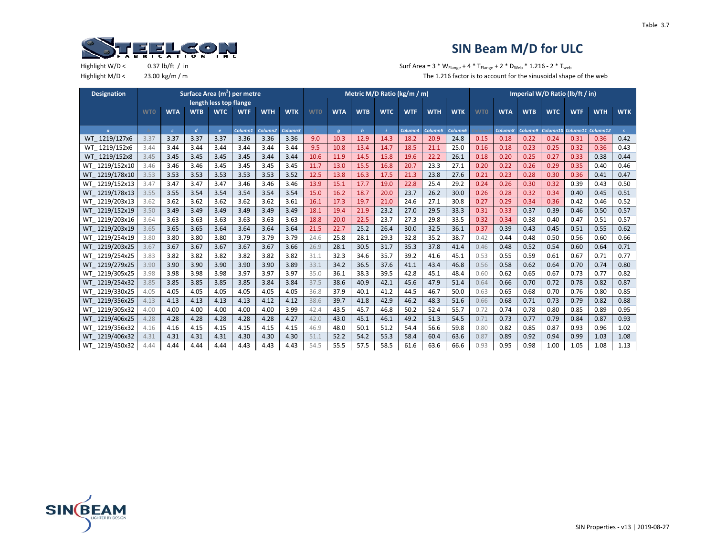

| <b>Designation</b> |            |            |                |              | Surface Area (m <sup>2</sup> ) per metre |                     |            |            |            |            |            | Metric M/D Ratio (kg/m / m) |            |                     |            |            |            | Imperial W/D Ratio (lb/ft / in) |            |                   |               |
|--------------------|------------|------------|----------------|--------------|------------------------------------------|---------------------|------------|------------|------------|------------|------------|-----------------------------|------------|---------------------|------------|------------|------------|---------------------------------|------------|-------------------|---------------|
|                    |            |            |                |              | length less top flange                   |                     |            |            |            |            |            |                             |            |                     |            |            |            |                                 |            |                   |               |
|                    | <b>WTO</b> | <b>WTA</b> | <b>WTB</b>     | <b>WTC</b>   | <b>WTF</b>                               | <b>WTH</b>          | <b>WTK</b> | <b>WTO</b> | <b>WTA</b> | <b>WTB</b> | <b>WTC</b> | <b>WTF</b>                  | <b>WTH</b> | <b>WTK</b>          | <b>WTO</b> | <b>WTA</b> | <b>WTB</b> | <b>WTC</b>                      | <b>WTF</b> | <b>WTH</b>        | <b>WTK</b>    |
|                    |            |            |                |              |                                          |                     |            |            |            |            |            |                             |            |                     |            |            |            |                                 |            |                   |               |
| $\sigma$           |            | $\epsilon$ | $\overline{d}$ | $\mathbf{e}$ | Column1                                  | Column <sub>2</sub> | Column3    |            | q          | h          |            | Column4                     | Column5    | Column <sub>6</sub> |            | Column8    | Column9    | Column10                        |            | Column11 Column12 | $\mathcal{S}$ |
| WT 1219/127x6      | 3.37       | 3.37       | 3.37           | 3.37         | 3.36                                     | 3.36                | 3.36       | 9.0        | 10.3       | 12.9       | 14.3       | 18.2                        | 20.9       | 24.8                | 0.15       | 0.18       | 0.22       | 0.24                            | 0.31       | 0.36              | 0.42          |
| WT 1219/152x6      | 3.44       | 3.44       | 3.44           | 3.44         | 3.44                                     | 3.44                | 3.44       | 9.5        | 10.8       | 13.4       | 14.7       | 18.5                        | 21.1       | 25.0                | 0.16       | 0.18       | 0.23       | 0.25                            | 0.32       | 0.36              | 0.43          |
| WT 1219/152x8      | 3.45       | 3.45       | 3.45           | 3.45         | 3.45                                     | 3.44                | 3.44       | 10.6       | 11.9       | 14.5       | 15.8       | 19.6                        | 22.2       | 26.1                | 0.18       | 0.20       | 0.25       | 0.27                            | 0.33       | 0.38              | 0.44          |
| WT 1219/152x10     | 3.46       | 3.46       | 3.46           | 3.45         | 3.45                                     | 3.45                | 3.45       | 11.7       | 13.0       | 15.5       | 16.8       | 20.7                        | 23.3       | 27.1                | 0.20       | 0.22       | 0.26       | 0.29                            | 0.35       | 0.40              | 0.46          |
| 1219/178x10<br>WT. | 3.53       | 3.53       | 3.53           | 3.53         | 3.53                                     | 3.53                | 3.52       | 12.5       | 13.8       | 16.3       | 17.5       | 21.3                        | 23.8       | 27.6                | 0.21       | 0.23       | 0.28       | 0.30                            | 0.36       | 0.41              | 0.47          |
| WT 1219/152x13     | 3.47       | 3.47       | 3.47           | 3.47         | 3.46                                     | 3.46                | 3.46       | 13.9       | 15.1       | 17.7       | 19.0       | 22.8                        | 25.4       | 29.2                | 0.24       | 0.26       | 0.30       | 0.32                            | 0.39       | 0.43              | 0.50          |
| WT 1219/178x13     | 3.55       | 3.55       | 3.54           | 3.54         | 3.54                                     | 3.54                | 3.54       | 15.0       | 16.2       | 18.7       | 20.0       | 23.7                        | 26.2       | 30.0                | 0.26       | 0.28       | 0.32       | 0.34                            | 0.40       | 0.45              | 0.51          |
| WT 1219/203x13     | 3.62       | 3.62       | 3.62           | 3.62         | 3.62                                     | 3.62                | 3.61       | 16.1       | 17.3       | 19.7       | 21.0       | 24.6                        | 27.1       | 30.8                | 0.27       | 0.29       | 0.34       | 0.36                            | 0.42       | 0.46              | 0.52          |
| WT 1219/152x19     | 3.50       | 3.49       | 3.49           | 3.49         | 3.49                                     | 3.49                | 3.49       | 18.1       | 19.4       | 21.9       | 23.2       | 27.0                        | 29.5       | 33.3                | 0.31       | 0.33       | 0.37       | 0.39                            | 0.46       | 0.50              | 0.57          |
| WT 1219/203x16     | 3.64       | 3.63       | 3.63           | 3.63         | 3.63                                     | 3.63                | 3.63       | 18.8       | 20.0       | 22.5       | 23.7       | 27.3                        | 29.8       | 33.5                | 0.32       | 0.34       | 0.38       | 0.40                            | 0.47       | 0.51              | 0.57          |
| WT 1219/203x19     | 3.65       | 3.65       | 3.65           | 3.64         | 3.64                                     | 3.64                | 3.64       | 21.5       | 22.7       | 25.2       | 26.4       | 30.0                        | 32.5       | 36.1                | 0.37       | 0.39       | 0.43       | 0.45                            | 0.51       | 0.55              | 0.62          |
| WT 1219/254x19     | 3.80       | 3.80       | 3.80           | 3.80         | 3.79                                     | 3.79                | 3.79       | 24.6       | 25.8       | 28.1       | 29.3       | 32.8                        | 35.2       | 38.7                | 0.42       | 0.44       | 0.48       | 0.50                            | 0.56       | 0.60              | 0.66          |
| WT 1219/203x25     | 3.67       | 3.67       | 3.67           | 3.67         | 3.67                                     | 3.67                | 3.66       | 26.9       | 28.1       | 30.5       | 31.7       | 35.3                        | 37.8       | 41.4                | 0.46       | 0.48       | 0.52       | 0.54                            | 0.60       | 0.64              | 0.71          |
| WT 1219/254x25     | 3.83       | 3.82       | 3.82           | 3.82         | 3.82                                     | 3.82                | 3.82       | 31.1       | 32.3       | 34.6       | 35.7       | 39.2                        | 41.6       | 45.1                | 0.53       | 0.55       | 0.59       | 0.61                            | 0.67       | 0.71              | 0.77          |
| WT 1219/279x25     | 3.90       | 3.90       | 3.90           | 3.90         | 3.90                                     | 3.90                | 3.89       | 33.1       | 34.2       | 36.5       | 37.6       | 41.1                        | 43.4       | 46.8                | 0.56       | 0.58       | 0.62       | 0.64                            | 0.70       | 0.74              | 0.80          |
| WT 1219/305x25     | 3.98       | 3.98       | 3.98           | 3.98         | 3.97                                     | 3.97                | 3.97       | 35.0       | 36.1       | 38.3       | 39.5       | 42.8                        | 45.1       | 48.4                | 0.60       | 0.62       | 0.65       | 0.67                            | 0.73       | 0.77              | 0.82          |
| WT 1219/254x32     | 3.85       | 3.85       | 3.85           | 3.85         | 3.85                                     | 3.84                | 3.84       | 37.5       | 38.6       | 40.9       | 42.1       | 45.6                        | 47.9       | 51.4                | 0.64       | 0.66       | 0.70       | 0.72                            | 0.78       | 0.82              | 0.87          |
| WT 1219/330x25     | 4.05       | 4.05       | 4.05           | 4.05         | 4.05                                     | 4.05                | 4.05       | 36.8       | 37.9       | 40.1       | 41.2       | 44.5                        | 46.7       | 50.0                | 0.63       | 0.65       | 0.68       | 0.70                            | 0.76       | 0.80              | 0.85          |
| WT 1219/356x25     | 4.13       | 4.13       | 4.13           | 4.13         | 4.13                                     | 4.12                | 4.12       | 38.6       | 39.7       | 41.8       | 42.9       | 46.2                        | 48.3       | 51.6                | 0.66       | 0.68       | 0.71       | 0.73                            | 0.79       | 0.82              | 0.88          |
| WT 1219/305x32     | 4.00       | 4.00       | 4.00           | 4.00         | 4.00                                     | 4.00                | 3.99       | 42.4       | 43.5       | 45.7       | 46.8       | 50.2                        | 52.4       | 55.7                | 0.72       | 0.74       | 0.78       | 0.80                            | 0.85       | 0.89              | 0.95          |
| WT 1219/406x25     | 4.28       | 4.28       | 4.28           | 4.28         | 4.28                                     | 4.28                | 4.27       | 42.0       | 43.0       | 45.1       | 46.1       | 49.2                        | 51.3       | 54.5                | 0.71       | 0.73       | 0.77       | 0.79                            | 0.84       | 0.87              | 0.93          |
| WT 1219/356x32     | 4.16       | 4.16       | 4.15           | 4.15         | 4.15                                     | 4.15                | 4.15       | 46.9       | 48.0       | 50.1       | 51.2       | 54.4                        | 56.6       | 59.8                | 0.80       | 0.82       | 0.85       | 0.87                            | 0.93       | 0.96              | 1.02          |
| WT 1219/406x32     | 4.31       | 4.31       | 4.31           | 4.31         | 4.30                                     | 4.30                | 4.30       | 51.1       | 52.2       | 54.2       | 55.3       | 58.4                        | 60.4       | 63.6                | 0.87       | 0.89       | 0.92       | 0.94                            | 0.99       | 1.03              | 1.08          |
| WT 1219/450x32     | 4.44       | 4.44       | 4.44           | 4.44         | 4.43                                     | 4.43                | 4.43       | 54.5       | 55.5       | 57.5       | 58.5       | 61.6                        | 63.6       | 66.6                | 0.93       | 0.95       | 0.98       | 1.00                            | 1.05       | 1.08              | 1.13          |